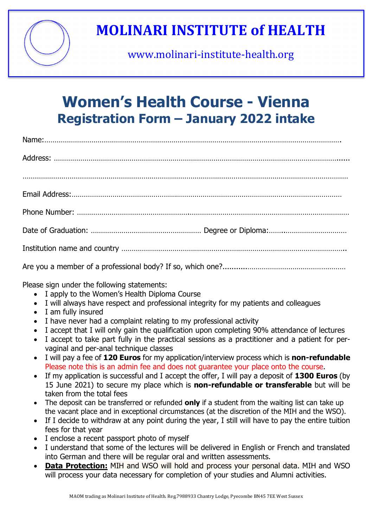

# **MOLINARI INSTITUTE of HEALTH**

www.molinari-institute-health.org

### **Women's Health Course - Vienna Registration Form – January 2022 intake**

Please sign under the following statements:

- · I apply to the Women's Health Diploma Course
- · I will always have respect and professional integrity for my patients and colleagues
- · I am fully insured
- · I have never had a complaint relating to my professional activity
- · I accept that I will only gain the qualification upon completing 90% attendance of lectures
- · I accept to take part fully in the practical sessions as a practitioner and a patient for pervaginal and per-anal technique classes
- · I will pay a fee of **120 Euros** for my application/interview process which is **non-refundable** Please note this is an admin fee and does not guarantee your place onto the course.
- · If my application is successful and I accept the offer, I will pay a deposit of **1300 Euros** (by 15 June 2021) to secure my place which is **non-refundable or transferable** but will be taken from the total fees
- · The deposit can be transferred or refunded **only** if a student from the waiting list can take up the vacant place and in exceptional circumstances (at the discretion of the MIH and the WSO).
- If I decide to withdraw at any point during the year, I still will have to pay the entire tuition fees for that year
- · I enclose a recent passport photo of myself
- · I understand that some of the lectures will be delivered in English or French and translated into German and there will be regular oral and written assessments.
- · **Data Protection:** MIH and WSO will hold and process your personal data. MIH and WSO will process your data necessary for completion of your studies and Alumni activities.